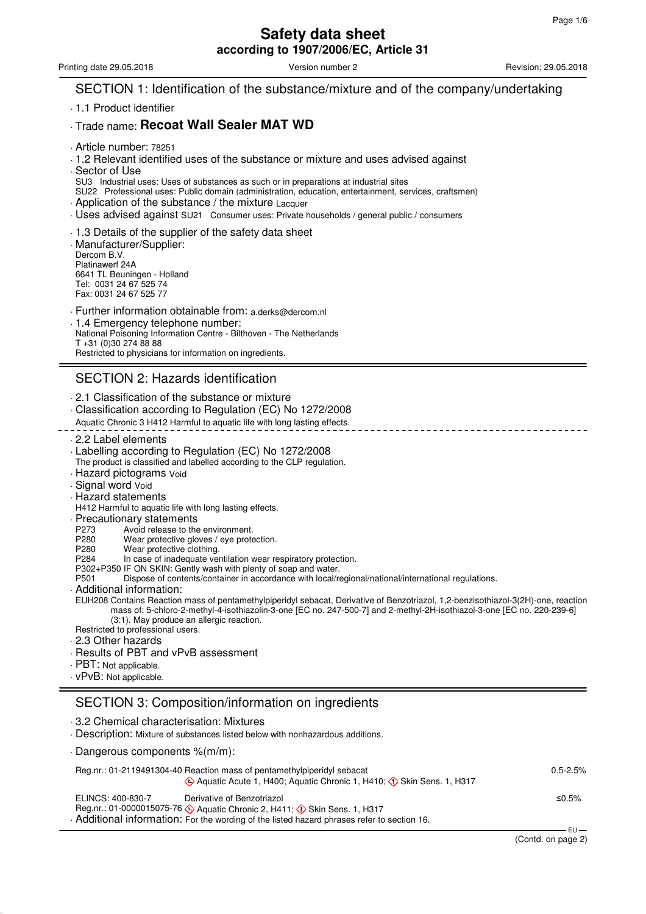Printing date 29.05.2018 **Version number 2** Version number 2 Revision: 29.05.2018

## SECTION 1: Identification of the substance/mixture and of the company/undertaking

. 1.1 Product identifier

### . Trade name: **Recoat Wall Sealer MAT WD**

- . Article number: 78251
- . 1.2 Relevant identified uses of the substance or mixture and uses advised against
- . Sector of Use
- SU3 Industrial uses: Uses of substances as such or in preparations at industrial sites
- SU22 Professional uses: Public domain (administration, education, entertainment, services, craftsmen)
- . Application of the substance / the mixture Lacquer
- . Uses advised against SU21 Consumer uses: Private households / general public / consumers
- . 1.3 Details of the supplier of the safety data sheet
- . Manufacturer/Supplier: Dercom B.V. Platinawerf 24A 6641 TL Beuningen - Holland Tel: 0031 24 67 525 74 Fax: 0031 24 67 525 77
- . Further information obtainable from: a.derks@dercom.nl . 1.4 Emergency telephone number: National Poisoning Information Centre - Bilthoven - The Netherlands T +31 (0)30 274 88 88 Restricted to physicians for information on ingredients.

# SECTION 2: Hazards identification

- . 2.1 Classification of the substance or mixture
- . Classification according to Regulation (EC) No 1272/2008
- Aquatic Chronic 3 H412 Harmful to aquatic life with long lasting effects.
- . 2.2 Label elements
- . Labelling according to Regulation (EC) No 1272/2008
- The product is classified and labelled according to the CLP regulation.
- . Hazard pictograms Void
- . Signal word Void
- . Hazard statements
- H412 Harmful to aquatic life with long lasting effects.
- 
- Precautionary statements<br>P273 Avoid release to the
- P273 Avoid release to the environment.<br>P280 Wear protective gloves / eye prote P280 Wear protective gloves / eye protection.<br>P280 Wear protective clothing.
- Wear protective clothing.
- P284 In case of inadequate ventilation wear respiratory protection.
- P302+P350 IF ON SKIN: Gently wash with plenty of soap and water.
- Dispose of contents/container in accordance with local/regional/national/international regulations.
- . Additional information:
- EUH208 Contains Reaction mass of pentamethylpiperidyl sebacat, Derivative of Benzotriazol, 1,2-benzisothiazol-3(2H)-one, reaction mass of: 5-chloro-2-methyl-4-isothiazolin-3-one [EC no. 247-500-7] and 2-methyl-2H-isothiazol-3-one [EC no. 220-239-6] (3:1). May produce an allergic reaction.
- Restricted to professional users.
- . 2.3 Other hazards
- . Results of PBT and vPvB assessment
- . PBT: Not applicable.
- 
- . vPvB: Not applicable.

# SECTION 3: Composition/information on ingredients

| 3.2 Chemical characterisation: Mixtures<br>Description: Mixture of substances listed below with nonhazardous additions.                                                                                                    |              |
|----------------------------------------------------------------------------------------------------------------------------------------------------------------------------------------------------------------------------|--------------|
| $\cdot$ Dangerous components %(m/m):                                                                                                                                                                                       |              |
| Reg.nr.: 01-2119491304-40 Reaction mass of pentamethylpiperidyl sebacat<br>♦ Aquatic Acute 1, H400: Aquatic Chronic 1, H410: ♦ Skin Sens. 1, H317                                                                          | $0.5 - 2.5%$ |
| ELINCS: 400-830-7<br>Derivative of Benzotriazol<br>Reg.nr.: 01-0000015075-76 SAquatic Chronic 2, H411; C Skin Sens. 1, H317<br>. Additional information: For the wording of the listed hazard phrases refer to section 16. | ≤0.5%        |
|                                                                                                                                                                                                                            |              |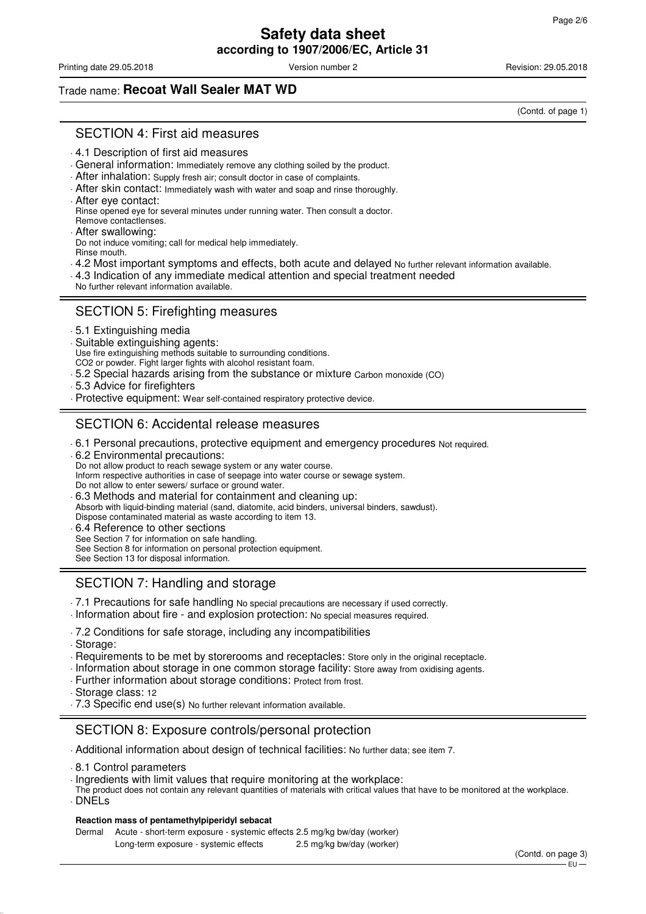Printing date 29.05.2018 **Version number 2** Version number 2 Revision: 29.05.2018

(Contd. of page 1)

# Trade name: **Recoat Wall Sealer MAT WD**

SECTION 4: First aid measures

- . 4.1 Description of first aid measures
- . General information: Immediately remove any clothing soiled by the product.
- . After inhalation: Supply fresh air; consult doctor in case of complaints.
- . After skin contact: Immediately wash with water and soap and rinse thoroughly.
- . After eye contact:
- Rinse opened eye for several minutes under running water. Then consult a doctor. Remove contactlenses.
- . After swallowing:
- Do not induce vomiting; call for medical help immediately. Rinse mouth.
- . 4.2 Most important symptoms and effects, both acute and delayed No further relevant information available.
- . 4.3 Indication of any immediate medical attention and special treatment needed
- No further relevant information available.

## SECTION 5: Firefighting measures

- . 5.1 Extinguishing media
- . Suitable extinguishing agents:
- Use fire extinguishing methods suitable to surrounding conditions.
- CO2 or powder. Fight larger fights with alcohol resistant foam.
- . 5.2 Special hazards arising from the substance or mixture Carbon monoxide (CO)
- . 5.3 Advice for firefighters
- . Protective equipment: Wear self-contained respiratory protective device.

# SECTION 6: Accidental release measures

- . 6.1 Personal precautions, protective equipment and emergency procedures Not required.
- . 6.2 Environmental precautions:
- Do not allow product to reach sewage system or any water course.
- Inform respective authorities in case of seepage into water course or sewage system.
- Do not allow to enter sewers/ surface or ground water.
- . 6.3 Methods and material for containment and cleaning up:
- Absorb with liquid-binding material (sand, diatomite, acid binders, universal binders, sawdust).
- Dispose contaminated material as waste according to item 13.
- . 6.4 Reference to other sections
- See Section 7 for information on safe handling.
- See Section 8 for information on personal protection equipment.
- See Section 13 for disposal information.

# SECTION 7: Handling and storage

- . 7.1 Precautions for safe handling No special precautions are necessary if used correctly.
- . Information about fire and explosion protection: No special measures required.
- . 7.2 Conditions for safe storage, including any incompatibilities
- . Storage:
- . Requirements to be met by storerooms and receptacles: Store only in the original receptacle.
- . Information about storage in one common storage facility: Store away from oxidising agents.
- . Further information about storage conditions: Protect from frost.
- . Storage class: 12
- . 7.3 Specific end use(s) No further relevant information available.

## SECTION 8: Exposure controls/personal protection

- . Additional information about design of technical facilities: No further data; see item 7.
- . 8.1 Control parameters
- . Ingredients with limit values that require monitoring at the workplace:
- The product does not contain any relevant quantities of materials with critical values that have to be monitored at the workplace. . DNELs

#### **Reaction mass of pentamethylpiperidyl sebacat**

Dermal Acute - short-term exposure - systemic effects 2.5 mg/kg bw/day (worker)

Long-term exposure - systemic effects 2.5 mg/kg bw/day (worker)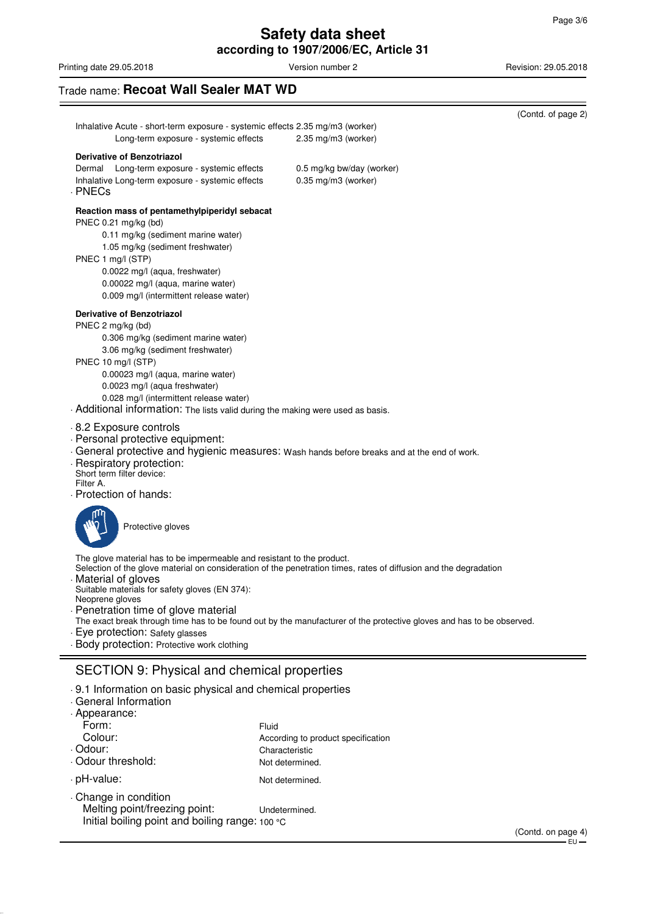Printing date 29.05.2018 **Printing date 29.05.2018** Version number 2 Revision: 29.05.2018

# Trade name: **Recoat Wall Sealer MAT WD**

|                                                                 |                                                                                                                                                                                                                                                                                                                                        |                                                                                                                                                                                                                                            | (Ooma. or pago ∠)  |
|-----------------------------------------------------------------|----------------------------------------------------------------------------------------------------------------------------------------------------------------------------------------------------------------------------------------------------------------------------------------------------------------------------------------|--------------------------------------------------------------------------------------------------------------------------------------------------------------------------------------------------------------------------------------------|--------------------|
|                                                                 | Inhalative Acute - short-term exposure - systemic effects 2.35 mg/m3 (worker)<br>Long-term exposure - systemic effects                                                                                                                                                                                                                 | 2.35 mg/m3 (worker)                                                                                                                                                                                                                        |                    |
| . PNECs                                                         | <b>Derivative of Benzotriazol</b><br>Dermal Long-term exposure - systemic effects<br>Inhalative Long-term exposure - systemic effects                                                                                                                                                                                                  | 0.5 mg/kg bw/day (worker)<br>0.35 mg/m3 (worker)                                                                                                                                                                                           |                    |
| PNEC 1 mg/l (STP)                                               | Reaction mass of pentamethylpiperidyl sebacat<br>PNEC 0.21 mg/kg (bd)<br>0.11 mg/kg (sediment marine water)<br>1.05 mg/kg (sediment freshwater)<br>0.0022 mg/l (aqua, freshwater)<br>0.00022 mg/l (aqua, marine water)<br>0.009 mg/l (intermittent release water)                                                                      |                                                                                                                                                                                                                                            |                    |
| PNEC 2 mg/kg (bd)                                               | <b>Derivative of Benzotriazol</b><br>0.306 mg/kg (sediment marine water)<br>3.06 mg/kg (sediment freshwater)<br>PNEC 10 mg/l (STP)<br>0.00023 mg/l (aqua, marine water)<br>0.0023 mg/l (aqua freshwater)<br>0.028 mg/l (intermittent release water)<br>. Additional information: The lists valid during the making were used as basis. |                                                                                                                                                                                                                                            |                    |
| Filter A.                                                       | 8.2 Exposure controls<br>. Personal protective equipment:<br>- Respiratory protection:<br>Short term filter device:<br>Protection of hands:                                                                                                                                                                                            | . General protective and hygienic measures: Wash hands before breaks and at the end of work.                                                                                                                                               |                    |
|                                                                 | Protective gloves                                                                                                                                                                                                                                                                                                                      |                                                                                                                                                                                                                                            |                    |
| Neoprene gloves                                                 | The glove material has to be impermeable and resistant to the product.<br>Material of gloves<br>Suitable materials for safety gloves (EN 374):<br>Penetration time of glove material<br>· Eye protection: Safety glasses<br>- Body protection: Protective work clothing                                                                | Selection of the glove material on consideration of the penetration times, rates of diffusion and the degradation<br>The exact break through time has to be found out by the manufacturer of the protective gloves and has to be observed. |                    |
|                                                                 | <b>SECTION 9: Physical and chemical properties</b>                                                                                                                                                                                                                                                                                     |                                                                                                                                                                                                                                            |                    |
| Appearance:<br>Form:<br>Colour:<br>. Odour:<br>Odour threshold: | .9.1 Information on basic physical and chemical properties<br>General Information                                                                                                                                                                                                                                                      | Fluid<br>According to product specification<br>Characteristic<br>Not determined.                                                                                                                                                           |                    |
| · pH-value:                                                     |                                                                                                                                                                                                                                                                                                                                        | Not determined.                                                                                                                                                                                                                            |                    |
|                                                                 | Change in condition<br>Melting point/freezing point:<br>Initial boiling point and boiling range: 100 °C                                                                                                                                                                                                                                | Undetermined.                                                                                                                                                                                                                              | (Contd. on page 4) |

 $\overline{\phantom{0}}$ (Contd. of page 2)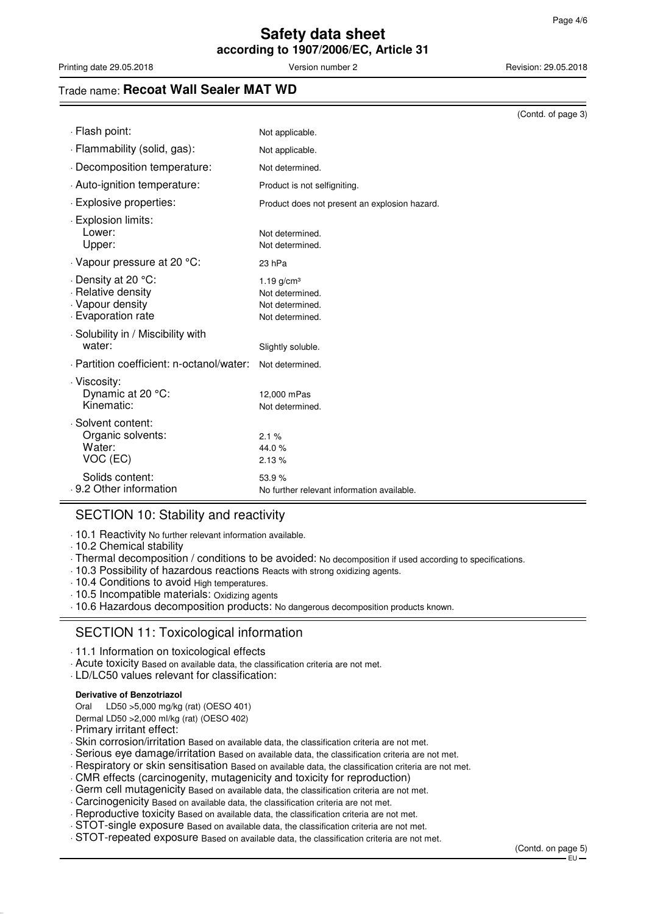Printing date 29.05.2018 **Version number 2** Version number 2 Revision: 29.05.2018

### Trade name: **Recoat Wall Sealer MAT WD**

|                                                                                   |                                                                       | (Contd. of page 3) |
|-----------------------------------------------------------------------------------|-----------------------------------------------------------------------|--------------------|
| · Flash point:                                                                    | Not applicable.                                                       |                    |
| · Flammability (solid, gas):                                                      | Not applicable.                                                       |                    |
| Decomposition temperature:                                                        | Not determined.                                                       |                    |
| . Auto-ignition temperature:                                                      | Product is not selfigniting.                                          |                    |
| . Explosive properties:                                                           | Product does not present an explosion hazard.                         |                    |
| · Explosion limits:<br>Lower:<br>Upper:                                           | Not determined.<br>Not determined.                                    |                    |
| Vapour pressure at 20 °C:                                                         | 23 hPa                                                                |                    |
| Density at 20 °C:<br>. Relative density<br>. Vapour density<br>- Evaporation rate | 1.19 $q/cm3$<br>Not determined.<br>Not determined.<br>Not determined. |                    |
| · Solubility in / Miscibility with<br>water:                                      | Slightly soluble.                                                     |                    |
| . Partition coefficient: n-octanol/water:                                         | Not determined.                                                       |                    |
| · Viscosity:<br>Dynamic at 20 °C:<br>Kinematic:                                   | 12,000 mPas<br>Not determined.                                        |                    |
| · Solvent content:<br>Organic solvents:<br>Water:<br>VOC (EC)                     | 2.1%<br>44.0%<br>2.13%                                                |                    |
| Solids content:<br>. 9.2 Other information                                        | 53.9%<br>No further relevant information available.                   |                    |

### SECTION 10: Stability and reactivity

. 10.1 Reactivity No further relevant information available.

- . 10.2 Chemical stability
- . Thermal decomposition / conditions to be avoided: No decomposition if used according to specifications.
- . 10.3 Possibility of hazardous reactions Reacts with strong oxidizing agents.
- . 10.4 Conditions to avoid High temperatures.
- . 10.5 Incompatible materials: Oxidizing agents
- . 10.6 Hazardous decomposition products: No dangerous decomposition products known.

## SECTION 11: Toxicological information

- . 11.1 Information on toxicological effects
- . Acute toxicity Based on available data, the classification criteria are not met.
- . LD/LC50 values relevant for classification:

#### **Derivative of Benzotriazol**

Oral LD50 >5,000 mg/kg (rat) (OESO 401)

- Dermal LD50 >2,000 ml/kg (rat) (OESO 402)
- . Primary irritant effect:
- . Skin corrosion/irritation Based on available data, the classification criteria are not met.
- . Serious eye damage/irritation Based on available data, the classification criteria are not met.
- . Respiratory or skin sensitisation Based on available data, the classification criteria are not met.
- . CMR effects (carcinogenity, mutagenicity and toxicity for reproduction)
- . Germ cell mutagenicity Based on available data, the classification criteria are not met.
- . Carcinogenicity Based on available data, the classification criteria are not met.
- . Reproductive toxicity Based on available data, the classification criteria are not met.
- . STOT-single exposure Based on available data, the classification criteria are not met.
- . STOT-repeated exposure Based on available data, the classification criteria are not met.

(Contd. on page 5) EU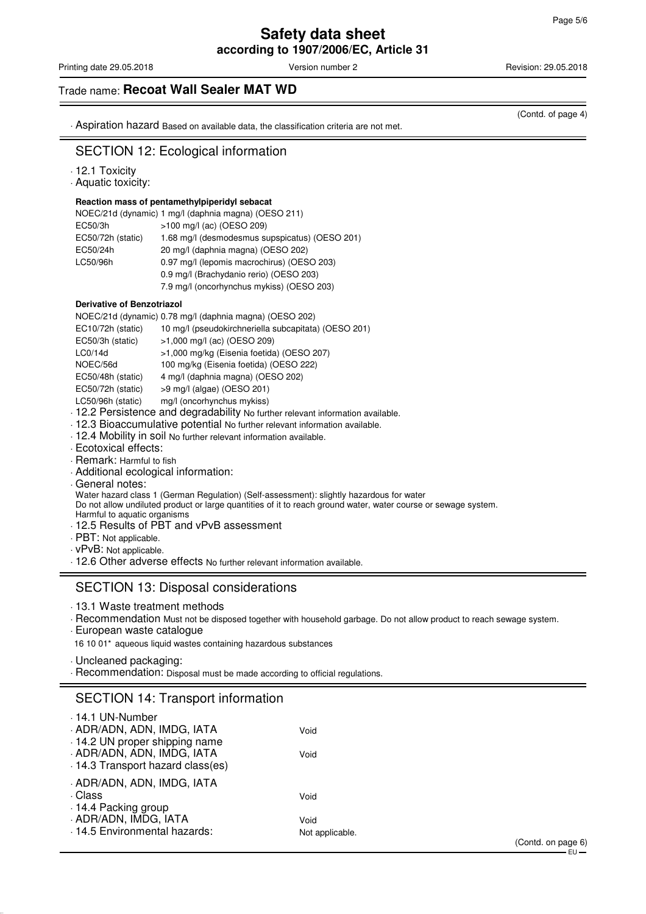(Contd. of page 4)

# **Safety data sheet according to 1907/2006/EC, Article 31**

Printing date 29.05.2018 **Version number 2** Version number 2 Revision: 29.05.2018

Trade name: **Recoat Wall Sealer MAT WD**

. Aspiration hazard Based on available data, the classification criteria are not met.

## SECTION 12: Ecological information

- . 12.1 Toxicity
- . Aquatic toxicity:

#### **Reaction mass of pentamethylpiperidyl sebacat**

|                   | NOEC/21d (dynamic) 1 mg/l (daphnia magna) (OESO 211) |
|-------------------|------------------------------------------------------|
| EC50/3h           | >100 mg/l (ac) (OESO 209)                            |
| EC50/72h (static) | 1.68 mg/l (desmodesmus supspicatus) (OESO 201)       |
| EC50/24h          | 20 mg/l (daphnia magna) (OESO 202)                   |
| LC50/96h          | 0.97 mg/l (lepomis macrochirus) (OESO 203)           |
|                   | 0.9 mg/l (Brachydanio rerio) (OESO 203)              |
|                   | 7.9 mg/l (oncorhynchus mykiss) (OESO 203)            |
|                   |                                                      |

#### **Derivative of Benzotriazol**

| NOEC/21d (dynamic) 0.78 mg/l (daphnia magna) (OESO 202) |  |  |  |  |  |
|---------------------------------------------------------|--|--|--|--|--|
|---------------------------------------------------------|--|--|--|--|--|

| EC10/72h (static) | 10 mg/l (pseudokirchneriella subcapitata) (OESO 201) |
|-------------------|------------------------------------------------------|
| EC50/3h (static)  | >1,000 mg/l (ac) (OESO 209)                          |
| LCO/14d           | >1,000 mg/kg (Eisenia foetida) (OESO 207)            |
| NOEC/56d          | 100 mg/kg (Eisenia foetida) (OESO 222)               |
| EC50/48h (static) | 4 mg/l (daphnia magna) (OESO 202)                    |
| EC50/72h (static) | $>9$ mg/l (algae) (OESO 201)                         |
|                   |                                                      |

- LC50/96h (static) mg/l (oncorhynchus mykiss)
- . 12.2 Persistence and degradability No further relevant information available.
- . 12.3 Bioaccumulative potential No further relevant information available.
- . 12.4 Mobility in soil No further relevant information available.
- . Ecotoxical effects:
- . Remark: Harmful to fish
- . Additional ecological information:
- . General notes:

Water hazard class 1 (German Regulation) (Self-assessment): slightly hazardous for water

Do not allow undiluted product or large quantities of it to reach ground water, water course or sewage system.

- Harmful to aquatic organisms
- . 12.5 Results of PBT and vPvB assessment
- . PBT: Not applicable.
- . vPvB: Not applicable.

. 12.6 Other adverse effects No further relevant information available.

### SECTION 13: Disposal considerations

- . 13.1 Waste treatment methods
- . Recommendation Must not be disposed together with household garbage. Do not allow product to reach sewage system.
- . European waste catalogue
- 16 10 01\* aqueous liquid wastes containing hazardous substances
- . Uncleaned packaging:
- . Recommendation: Disposal must be made according to official regulations.

### SECTION 14: Transport information

| 14.1 UN-Number                    |                 |
|-----------------------------------|-----------------|
| . ADR/ADN, ADN, IMDG, IATA        | Void            |
| 14.2 UN proper shipping name      |                 |
| ADR/ADN, ADN, IMDG, IATA          | Void            |
| . 14.3 Transport hazard class(es) |                 |
| . ADR/ADN, ADN, IMDG, IATA        |                 |
| . Class                           | Void            |
| 14.4 Packing group                |                 |
| - ADR/ADN, IMDG, IATA             | Void            |
| . 14.5 Environmental hazards:     | Not applicable. |
|                                   |                 |